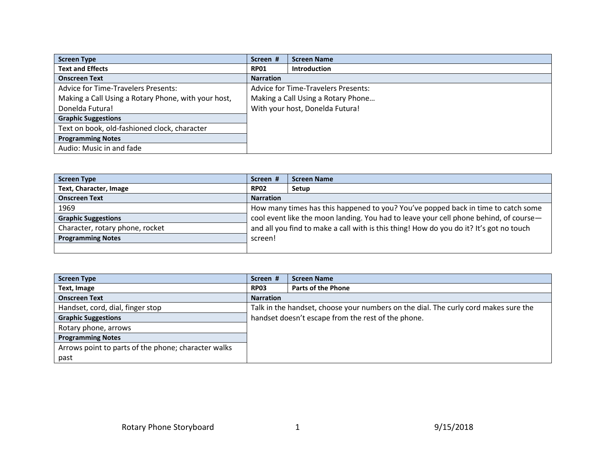| <b>Screen Type</b>                                  | Screen #                           | <b>Screen Name</b>                         |
|-----------------------------------------------------|------------------------------------|--------------------------------------------|
| <b>Text and Effects</b>                             | <b>RP01</b>                        | <b>Introduction</b>                        |
| <b>Onscreen Text</b>                                | <b>Narration</b>                   |                                            |
| <b>Advice for Time-Travelers Presents:</b>          |                                    | <b>Advice for Time-Travelers Presents:</b> |
| Making a Call Using a Rotary Phone, with your host, | Making a Call Using a Rotary Phone |                                            |
| Donelda Futura!                                     |                                    | With your host, Donelda Futura!            |
| <b>Graphic Suggestions</b>                          |                                    |                                            |
| Text on book, old-fashioned clock, character        |                                    |                                            |
| <b>Programming Notes</b>                            |                                    |                                            |
| Audio: Music in and fade                            |                                    |                                            |

| <b>Screen Type</b>              | Screen #         | <b>Screen Name</b>                                                                      |
|---------------------------------|------------------|-----------------------------------------------------------------------------------------|
| Text, Character, Image          | <b>RP02</b>      | Setup                                                                                   |
| <b>Onscreen Text</b>            | <b>Narration</b> |                                                                                         |
| 1969                            |                  | How many times has this happened to you? You've popped back in time to catch some       |
| <b>Graphic Suggestions</b>      |                  | cool event like the moon landing. You had to leave your cell phone behind, of course-   |
| Character, rotary phone, rocket |                  | and all you find to make a call with is this thing! How do you do it? It's got no touch |
| <b>Programming Notes</b>        | screen!          |                                                                                         |
|                                 |                  |                                                                                         |

| <b>Screen Type</b>                                  | Screen #         | <b>Screen Name</b>                                                                  |
|-----------------------------------------------------|------------------|-------------------------------------------------------------------------------------|
| Text, Image                                         | <b>RP03</b>      | <b>Parts of the Phone</b>                                                           |
| <b>Onscreen Text</b>                                | <b>Narration</b> |                                                                                     |
| Handset, cord, dial, finger stop                    |                  | Talk in the handset, choose your numbers on the dial. The curly cord makes sure the |
| <b>Graphic Suggestions</b>                          |                  | handset doesn't escape from the rest of the phone.                                  |
| Rotary phone, arrows                                |                  |                                                                                     |
| <b>Programming Notes</b>                            |                  |                                                                                     |
| Arrows point to parts of the phone; character walks |                  |                                                                                     |
| past                                                |                  |                                                                                     |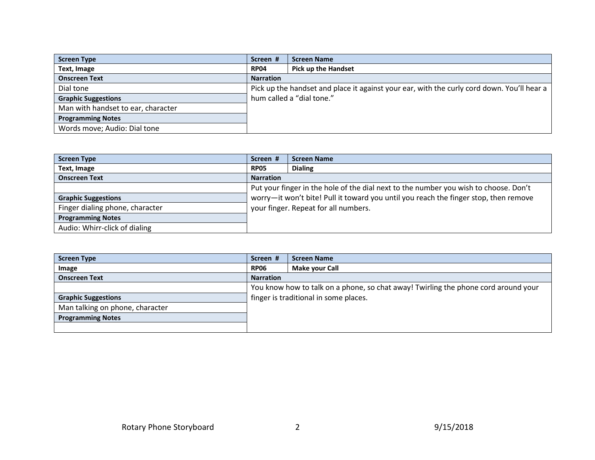| <b>Screen Type</b>                 | Screen #         | <b>Screen Name</b>                                                                         |
|------------------------------------|------------------|--------------------------------------------------------------------------------------------|
| Text, Image                        | <b>RP04</b>      | <b>Pick up the Handset</b>                                                                 |
| <b>Onscreen Text</b>               | <b>Narration</b> |                                                                                            |
| Dial tone                          |                  | Pick up the handset and place it against your ear, with the curly cord down. You'll hear a |
| <b>Graphic Suggestions</b>         |                  | hum called a "dial tone."                                                                  |
| Man with handset to ear, character |                  |                                                                                            |
| <b>Programming Notes</b>           |                  |                                                                                            |
| Words move; Audio: Dial tone       |                  |                                                                                            |

| <b>Screen Type</b>              | Screen #                                                                             | <b>Screen Name</b> |
|---------------------------------|--------------------------------------------------------------------------------------|--------------------|
| <b>Text, Image</b>              | <b>RP05</b>                                                                          | <b>Dialing</b>     |
| <b>Onscreen Text</b>            | <b>Narration</b>                                                                     |                    |
|                                 | Put your finger in the hole of the dial next to the number you wish to choose. Don't |                    |
| <b>Graphic Suggestions</b>      | worry-it won't bite! Pull it toward you until you reach the finger stop, then remove |                    |
| Finger dialing phone, character | your finger. Repeat for all numbers.                                                 |                    |
| <b>Programming Notes</b>        |                                                                                      |                    |
| Audio: Whirr-click of dialing   |                                                                                      |                    |

| <b>Screen Type</b>              | Screen #                              | <b>Screen Name</b>                                                                 |
|---------------------------------|---------------------------------------|------------------------------------------------------------------------------------|
| Image                           | <b>RP06</b>                           | Make your Call                                                                     |
| <b>Onscreen Text</b>            | <b>Narration</b>                      |                                                                                    |
|                                 |                                       | You know how to talk on a phone, so chat away! Twirling the phone cord around your |
| <b>Graphic Suggestions</b>      | finger is traditional in some places. |                                                                                    |
| Man talking on phone, character |                                       |                                                                                    |
| <b>Programming Notes</b>        |                                       |                                                                                    |
|                                 |                                       |                                                                                    |